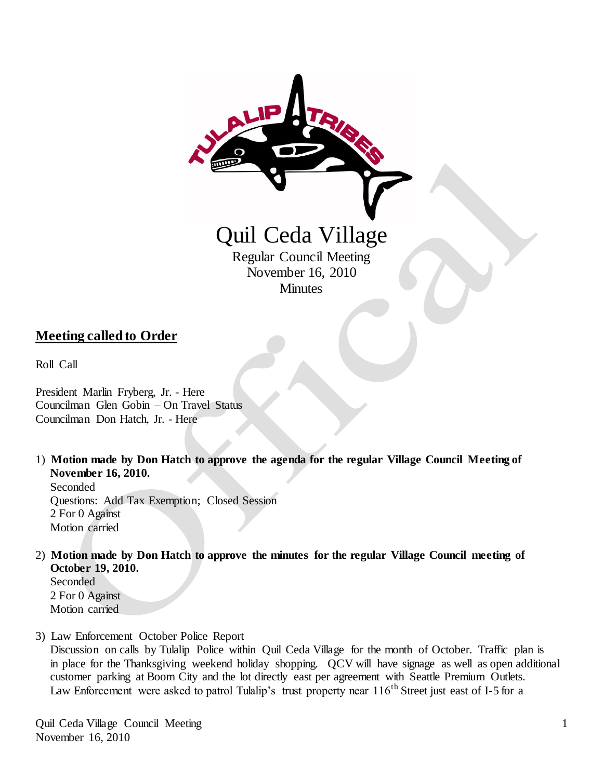

### **Meeting called to Order**

Roll Call

President Marlin Fryberg, Jr. - Here Councilman Glen Gobin – On Travel Status Councilman Don Hatch, Jr. - Here

1) **Motion made by Don Hatch to approve the agenda for the regular Village Council Meeting of November 16, 2010.**

 Seconded Questions: Add Tax Exemption; Closed Session 2 For 0 Against Motion carried

2) **Motion made by Don Hatch to approve the minutes for the regular Village Council meeting of October 19, 2010.**

 Seconded 2 For 0 Against Motion carried

3) Law Enforcement October Police Report

 Discussion on calls by Tulalip Police within Quil Ceda Village for the month of October. Traffic plan is in place for the Thanksgiving weekend holiday shopping. QCV will have signage as well as open additional customer parking at Boom City and the lot directly east per agreement with Seattle Premium Outlets. Law Enforcement were asked to patrol Tulalip's trust property near  $116<sup>th</sup>$  Street just east of I-5 for a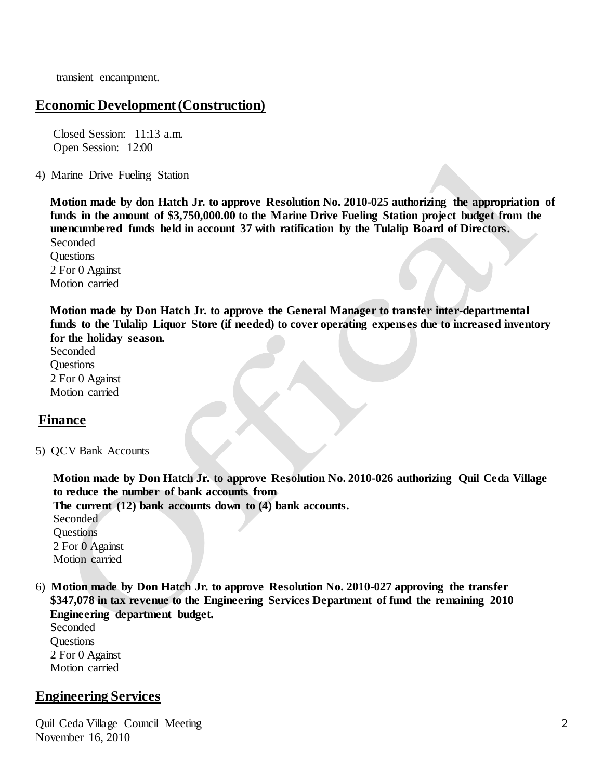transient encampment.

### **Economic Development (Construction)**

 Closed Session: 11:13 a.m. Open Session: 12:00

4) Marine Drive Fueling Station

 **Motion made by don Hatch Jr. to approve Resolution No. 2010-025 authorizing the appropriation of funds in the amount of \$3,750,000.00 to the Marine Drive Fueling Station project budget from the unencumbered funds held in account 37 with ratification by the Tulalip Board of Directors.**

Seconded **Ouestions**  2 For 0 Against Motion carried

 **Motion made by Don Hatch Jr. to approve the General Manager to transfer inter-departmental funds to the Tulalip Liquor Store (if needed) to cover operating expenses due to increased inventory for the holiday season.**

Seconded Questions 2 For 0 Against Motion carried

# **Finance**

5) QCV Bank Accounts

 **Motion made by Don Hatch Jr. to approve Resolution No. 2010-026 authorizing Quil Ceda Village to reduce the number of bank accounts from**

 **The current (12) bank accounts down to (4) bank accounts.**

 Seconded **Ouestions**  2 For 0 Against Motion carried

6) **Motion made by Don Hatch Jr. to approve Resolution No. 2010-027 approving the transfer \$347,078 in tax revenue to the Engineering Services Department of fund the remaining 2010 Engineering department budget.**

 Seconded **Questions**  2 For 0 Against Motion carried

# **Engineering Services**

Quil Ceda Village Council Meeting November 16, 2010